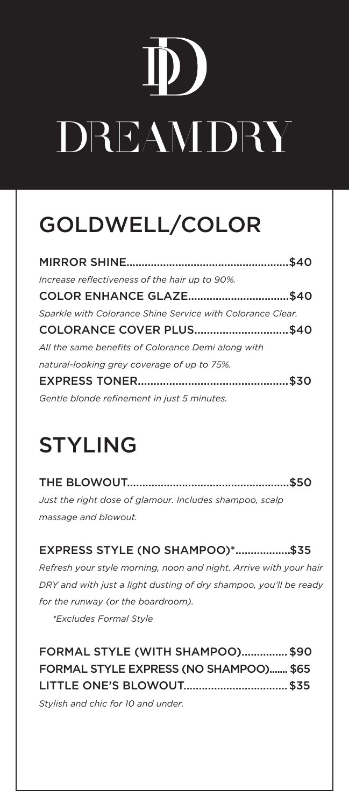# D D DREAMDRY

### GOLDWELL/COLOR

| Increase reflectiveness of the hair up to 90%.             |  |
|------------------------------------------------------------|--|
| COLOR ENHANCE GLAZE\$40                                    |  |
| Sparkle with Colorance Shine Service with Colorance Clear. |  |
| COLORANCE COVER PLUS\$40                                   |  |
| All the same benefits of Colorance Demi along with         |  |
| natural-looking grey coverage of up to 75%.                |  |
|                                                            |  |
| Gentle blonde refinement in just 5 minutes.                |  |

### STYLING

THE BLOWOUT.....................................................\$50 *Just the right dose of glamour. Includes shampoo, scalp massage and blowout.*

EXPRESS STYLE (NO SHAMPOO)\*.................. \$35 *Refresh your style morning, noon and night. Arrive with your hair DRY and with just a light dusting of dry shampoo, you'll be ready for the runway (or the boardroom). \*Excludes Formal Style*

FORMAL STYLE (WITH SHAMPOO)................ \$90 FORMAL STYLE EXPRESS (NO SHAMPOO)....... \$65 LITTLE ONE'S BLOWOUT.................................. \$35

*Stylish and chic for 10 and under.*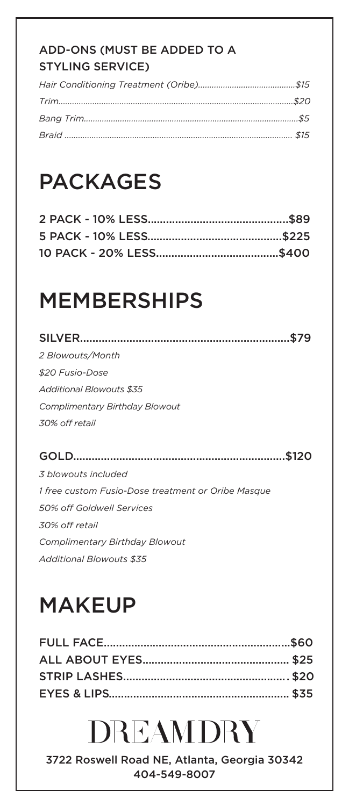### ADD-ONS (MUST BE ADDED TO A STYLING SERVICE)

### PACKAGES

### MEMBERSHIPS

| 2 Blowouts/Month                                   |
|----------------------------------------------------|
| \$20 Fusio-Dose                                    |
| Additional Blowouts \$35                           |
| Complimentary Birthday Blowout                     |
| 30% off retail                                     |
|                                                    |
| \$120                                              |
| 3 blowouts included                                |
| 1 free custom Fusio-Dose treatment or Oribe Masque |
| 50% off Goldwell Services                          |
| 30% off retail                                     |

*Complimentary Birthday Blowout Additional Blowouts \$35*

### **MAKEUP**

## DREAMDRY

3722 Roswell Road NE, Atlanta, Georgia 30342 404-549-8007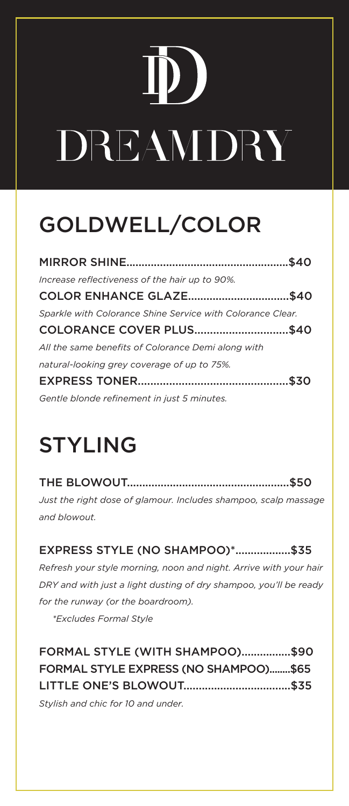# DREAMDRY

### GOLDWELL/COLOR

| Increase reflectiveness of the hair up to 90%.             |  |
|------------------------------------------------------------|--|
| COLOR ENHANCE GLAZE\$40                                    |  |
| Sparkle with Colorance Shine Service with Colorance Clear. |  |
| COLORANCE COVER PLUS\$40                                   |  |
| All the same benefits of Colorance Demi along with         |  |
| natural-looking grey coverage of up to 75%.                |  |
|                                                            |  |
| Gentle blonde refinement in just 5 minutes.                |  |

### STYLING

THE BLOWOUT.....................................................\$50 *Just the right dose of glamour. Includes shampoo, scalp massage and blowout.*

EXPRESS STYLE (NO SHAMPOO)\*..................\$35 *Refresh your style morning, noon and night. Arrive with your hair DRY and with just a light dusting of dry shampoo, you'll be ready for the runway (or the boardroom). \*Excludes Formal Style*

| FORMAL STYLE (WITH SHAMPOO)\$90       |  |
|---------------------------------------|--|
| FORMAL STYLE EXPRESS (NO SHAMPOO)\$65 |  |
|                                       |  |
| $Chulich$ and chic for $10$ and under |  |

*Stylish and chic for 10 and under.*